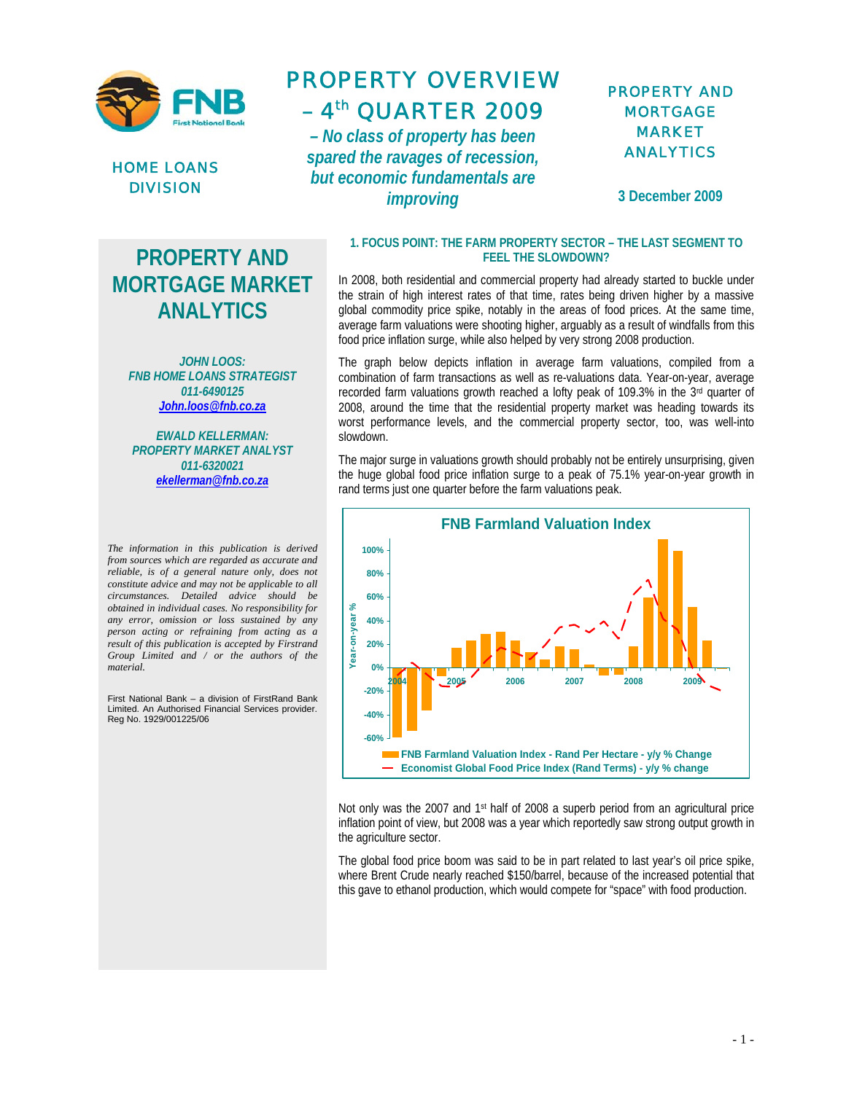



## PROPERTY OVERVIEW  $-4$ <sup>th</sup> QUARTER 2009

*– No class of property has been spared the ravages of recession, but economic fundamentals are improving*

### PROPERTY AND MORTGAGE MARKET ANALYTICS

**3 December 2009** 

# **PROPERTY AND MORTGAGE MARKET ANALYTICS**

*JOHN LOOS: FNB HOME LOANS STRATEGIST 011-6490125 John.loos@fnb.co.za*

*EWALD KELLERMAN: PROPERTY MARKET ANALYST 011-6320021 ekellerman@fnb.co.za*

*The information in this publication is derived from sources which are regarded as accurate and reliable, is of a general nature only, does not constitute advice and may not be applicable to all circumstances. Detailed advice should be obtained in individual cases. No responsibility for any error, omission or loss sustained by any person acting or refraining from acting as a result of this publication is accepted by Firstrand Group Limited and / or the authors of the material.*

First National Bank – a division of FirstRand Bank Limited. An Authorised Financial Services provider. Reg No. 1929/001225/06

#### **1. FOCUS POINT: THE FARM PROPERTY SECTOR – THE LAST SEGMENT TO FEEL THE SLOWDOWN?**

In 2008, both residential and commercial property had already started to buckle under the strain of high interest rates of that time, rates being driven higher by a massive global commodity price spike, notably in the areas of food prices. At the same time, average farm valuations were shooting higher, arguably as a result of windfalls from this food price inflation surge, while also helped by very strong 2008 production.

The graph below depicts inflation in average farm valuations, compiled from a combination of farm transactions as well as re-valuations data. Year-on-year, average recorded farm valuations growth reached a lofty peak of 109.3% in the 3<sup>rd</sup> quarter of 2008, around the time that the residential property market was heading towards its worst performance levels, and the commercial property sector, too, was well-into slowdown.

The major surge in valuations growth should probably not be entirely unsurprising, given the huge global food price inflation surge to a peak of 75.1% year-on-year growth in rand terms just one quarter before the farm valuations peak.



Not only was the 2007 and 1st half of 2008 a superb period from an agricultural price inflation point of view, but 2008 was a year which reportedly saw strong output growth in the agriculture sector.

The global food price boom was said to be in part related to last year's oil price spike, where Brent Crude nearly reached \$150/barrel, because of the increased potential that this gave to ethanol production, which would compete for "space" with food production.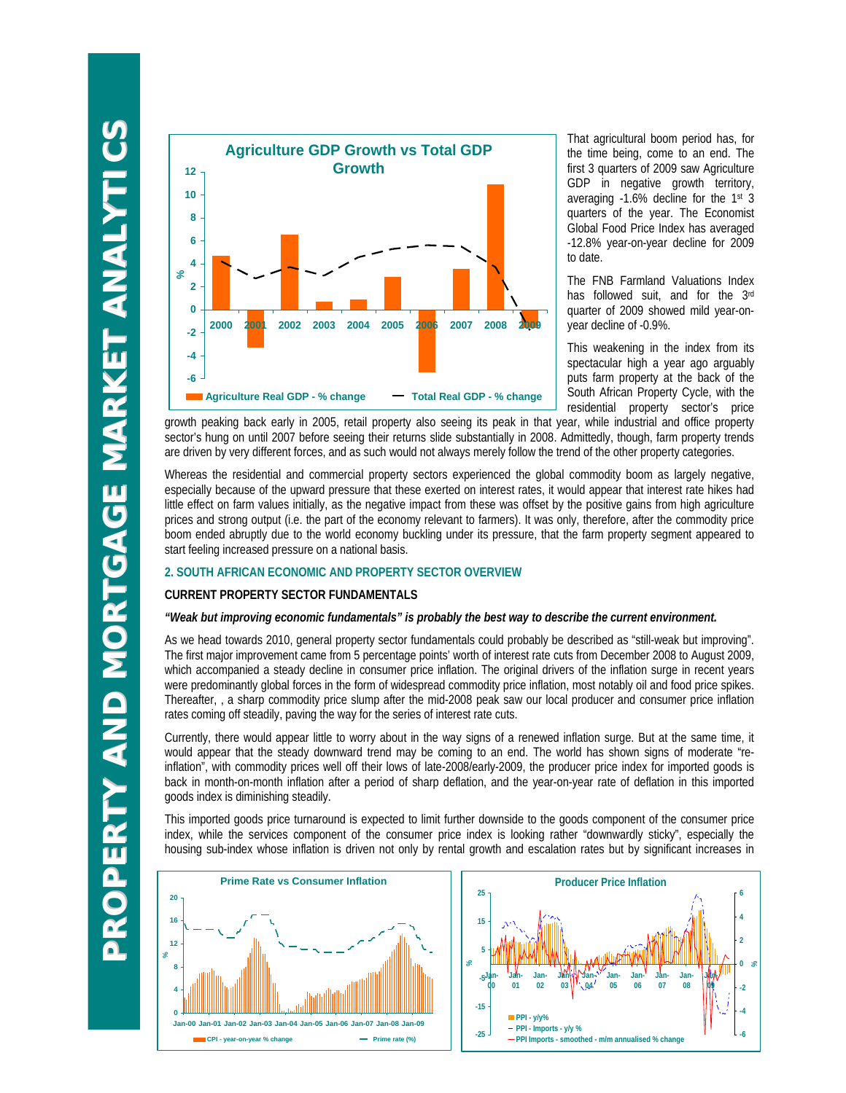

That agricultural boom period has, for the time being, come to an end. The first 3 quarters of 2009 saw Agriculture GDP in negative growth territory, averaging -1.6% decline for the 1st 3 quarters of the year. The Economist Global Food Price Index has averaged -12.8% year-on-year decline for 2009 to date.

The FNB Farmland Valuations Index has followed suit, and for the 3rd quarter of 2009 showed mild year-onyear decline of -0.9%.

This weakening in the index from its spectacular high a year ago arguably puts farm property at the back of the South African Property Cycle, with the residential property sector's price

growth peaking back early in 2005, retail property also seeing its peak in that year, while industrial and office property sector's hung on until 2007 before seeing their returns slide substantially in 2008. Admittedly, though, farm property trends are driven by very different forces, and as such would not always merely follow the trend of the other property categories.

Whereas the residential and commercial property sectors experienced the global commodity boom as largely negative, especially because of the upward pressure that these exerted on interest rates, it would appear that interest rate hikes had little effect on farm values initially, as the negative impact from these was offset by the positive gains from high agriculture prices and strong output (i.e. the part of the economy relevant to farmers). It was only, therefore, after the commodity price boom ended abruptly due to the world economy buckling under its pressure, that the farm property segment appeared to start feeling increased pressure on a national basis.

#### **2. SOUTH AFRICAN ECONOMIC AND PROPERTY SECTOR OVERVIEW**

#### **CURRENT PROPERTY SECTOR FUNDAMENTALS**

#### *"Weak but improving economic fundamentals" is probably the best way to describe the current environment.*

As we head towards 2010, general property sector fundamentals could probably be described as "still-weak but improving". The first major improvement came from 5 percentage points' worth of interest rate cuts from December 2008 to August 2009, which accompanied a steady decline in consumer price inflation. The original drivers of the inflation surge in recent years were predominantly global forces in the form of widespread commodity price inflation, most notably oil and food price spikes. Thereafter, , a sharp commodity price slump after the mid-2008 peak saw our local producer and consumer price inflation rates coming off steadily, paving the way for the series of interest rate cuts.

Currently, there would appear little to worry about in the way signs of a renewed inflation surge. But at the same time, it would appear that the steady downward trend may be coming to an end. The world has shown signs of moderate "reinflation", with commodity prices well off their lows of late-2008/early-2009, the producer price index for imported goods is back in month-on-month inflation after a period of sharp deflation, and the year-on-year rate of deflation in this imported goods index is diminishing steadily.

This imported goods price turnaround is expected to limit further downside to the goods component of the consumer price index, while the services component of the consumer price index is looking rather "downwardly sticky", especially the housing sub-index whose inflation is driven not only by rental growth and escalation rates but by significant increases in



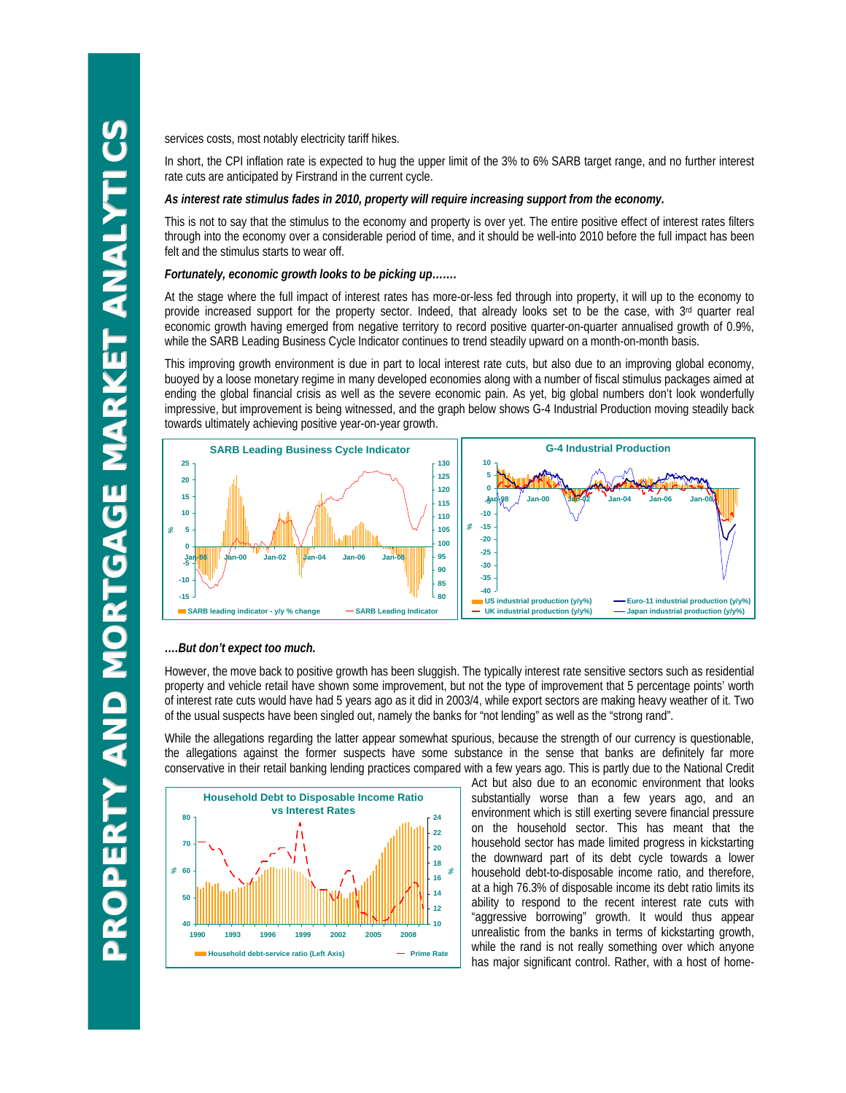services costs, most notably electricity tariff hikes.

In short, the CPI inflation rate is expected to hug the upper limit of the 3% to 6% SARB target range, and no further interest rate cuts are anticipated by Firstrand in the current cycle.

#### *As interest rate stimulus fades in 2010, property will require increasing support from the economy.*

This is not to say that the stimulus to the economy and property is over yet. The entire positive effect of interest rates filters through into the economy over a considerable period of time, and it should be well-into 2010 before the full impact has been felt and the stimulus starts to wear off.

#### *Fortunately, economic growth looks to be picking up…….*

At the stage where the full impact of interest rates has more-or-less fed through into property, it will up to the economy to provide increased support for the property sector. Indeed, that already looks set to be the case, with 3rd quarter real economic growth having emerged from negative territory to record positive quarter-on-quarter annualised growth of 0.9%, while the SARB Leading Business Cycle Indicator continues to trend steadily upward on a month-on-month basis.

This improving growth environment is due in part to local interest rate cuts, but also due to an improving global economy, buoyed by a loose monetary regime in many developed economies along with a number of fiscal stimulus packages aimed at ending the global financial crisis as well as the severe economic pain. As yet, big global numbers don't look wonderfully impressive, but improvement is being witnessed, and the graph below shows G-4 Industrial Production moving steadily back towards ultimately achieving positive year-on-year growth.



#### *….But don't expect too much.*

However, the move back to positive growth has been sluggish. The typically interest rate sensitive sectors such as residential property and vehicle retail have shown some improvement, but not the type of improvement that 5 percentage points' worth of interest rate cuts would have had 5 years ago as it did in 2003/4, while export sectors are making heavy weather of it. Two of the usual suspects have been singled out, namely the banks for "not lending" as well as the "strong rand".

While the allegations regarding the latter appear somewhat spurious, because the strength of our currency is questionable, the allegations against the former suspects have some substance in the sense that banks are definitely far more conservative in their retail banking lending practices compared with a few years ago. This is partly due to the National Credit



Act but also due to an economic environment that looks substantially worse than a few years ago, and an environment which is still exerting severe financial pressure on the household sector. This has meant that the household sector has made limited progress in kickstarting the downward part of its debt cycle towards a lower household debt-to-disposable income ratio, and therefore, at a high 76.3% of disposable income its debt ratio limits its ability to respond to the recent interest rate cuts with "aggressive borrowing" growth. It would thus appear unrealistic from the banks in terms of kickstarting growth, while the rand is not really something over which anyone has major significant control. Rather, with a host of home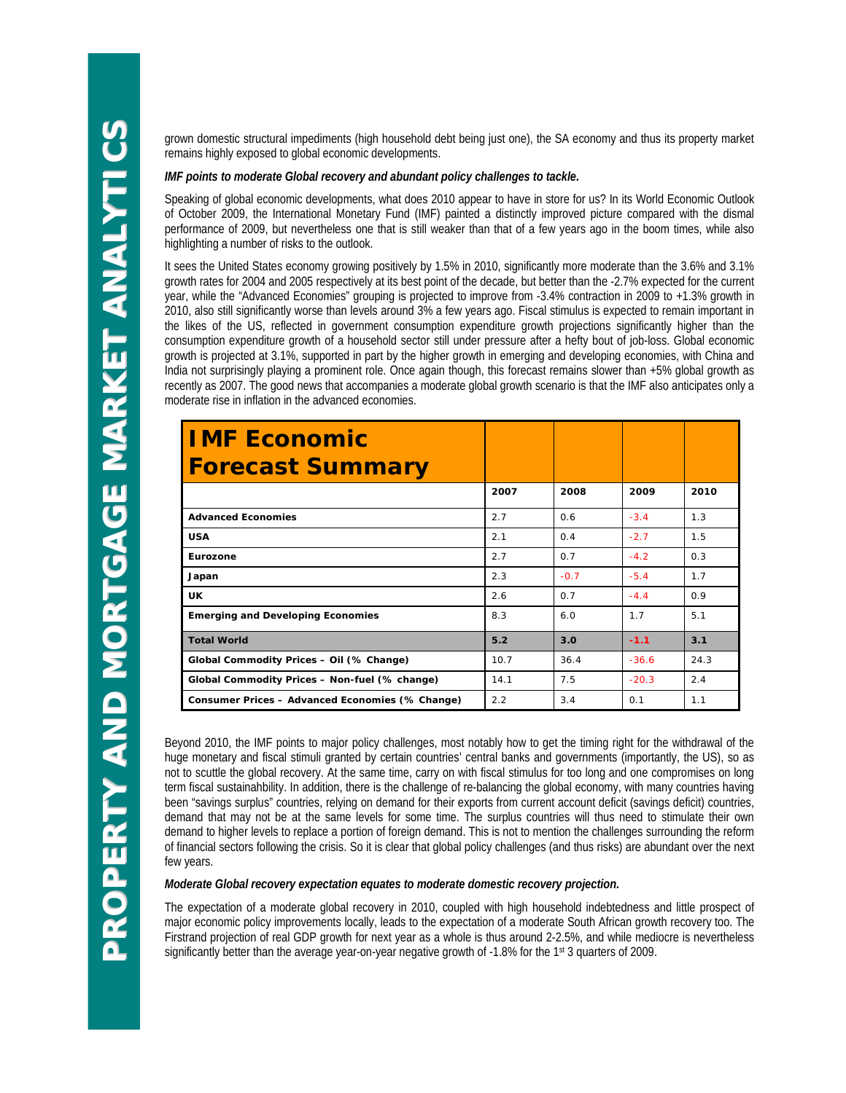grown domestic structural impediments (high household debt being just one), the SA economy and thus its property market remains highly exposed to global economic developments.

#### *IMF points to moderate Global recovery and abundant policy challenges to tackle.*

Speaking of global economic developments, what does 2010 appear to have in store for us? In its World Economic Outlook of October 2009, the International Monetary Fund (IMF) painted a distinctly improved picture compared with the dismal performance of 2009, but nevertheless one that is still weaker than that of a few years ago in the boom times, while also highlighting a number of risks to the outlook.

It sees the United States economy growing positively by 1.5% in 2010, significantly more moderate than the 3.6% and 3.1% growth rates for 2004 and 2005 respectively at its best point of the decade, but better than the -2.7% expected for the current year, while the "Advanced Economies" grouping is projected to improve from -3.4% contraction in 2009 to +1.3% growth in 2010, also still significantly worse than levels around 3% a few years ago. Fiscal stimulus is expected to remain important in the likes of the US, reflected in government consumption expenditure growth projections significantly higher than the consumption expenditure growth of a household sector still under pressure after a hefty bout of job-loss. Global economic growth is projected at 3.1%, supported in part by the higher growth in emerging and developing economies, with China and India not surprisingly playing a prominent role. Once again though, this forecast remains slower than +5% global growth as recently as 2007. The good news that accompanies a moderate global growth scenario is that the IMF also anticipates only a moderate rise in inflation in the advanced economies.

| <b>IMF Economic</b><br><b>Forecast Summary</b>  |      |            |         |      |
|-------------------------------------------------|------|------------|---------|------|
|                                                 | 2007 | 2008       | 2009    | 2010 |
| <b>Advanced Economies</b>                       | 2.7  | 0.6        | $-3.4$  | 1.3  |
| <b>USA</b>                                      | 2.1  | $\Omega$ 4 | $-2.7$  | 1.5  |
| Eurozone                                        | 2.7  | 0.7        | $-4.2$  | 0.3  |
| Japan                                           | 2.3  | $-0.7$     | $-5.4$  | 1.7  |
| <b>UK</b>                                       | 2.6  | 0.7        | $-4.4$  | 0.9  |
| <b>Emerging and Developing Economies</b>        | 8.3  | 6.0        | 1.7     | 5.1  |
| <b>Total World</b>                              | 5.2  | 3.0        | $-1.1$  | 3.1  |
| Global Commodity Prices - Oil (% Change)        | 10.7 | 36.4       | $-36.6$ | 24.3 |
| Global Commodity Prices - Non-fuel (% change)   | 14.1 | 7.5        | $-20.3$ | 2.4  |
| Consumer Prices - Advanced Economies (% Change) | 2.2  | 3.4        | 0.1     | 1.1  |

Beyond 2010, the IMF points to major policy challenges, most notably how to get the timing right for the withdrawal of the huge monetary and fiscal stimuli granted by certain countries' central banks and governments (importantly, the US), so as not to scuttle the global recovery. At the same time, carry on with fiscal stimulus for too long and one compromises on long term fiscal sustainahbility. In addition, there is the challenge of re-balancing the global economy, with many countries having been "savings surplus" countries, relying on demand for their exports from current account deficit (savings deficit) countries, demand that may not be at the same levels for some time. The surplus countries will thus need to stimulate their own demand to higher levels to replace a portion of foreign demand. This is not to mention the challenges surrounding the reform of financial sectors following the crisis. So it is clear that global policy challenges (and thus risks) are abundant over the next few years.

#### *Moderate Global recovery expectation equates to moderate domestic recovery projection.*

The expectation of a moderate global recovery in 2010, coupled with high household indebtedness and little prospect of major economic policy improvements locally, leads to the expectation of a moderate South African growth recovery too. The Firstrand projection of real GDP growth for next year as a whole is thus around 2-2.5%, and while mediocre is nevertheless significantly better than the average year-on-year negative growth of -1.8% for the 1st 3 quarters of 2009.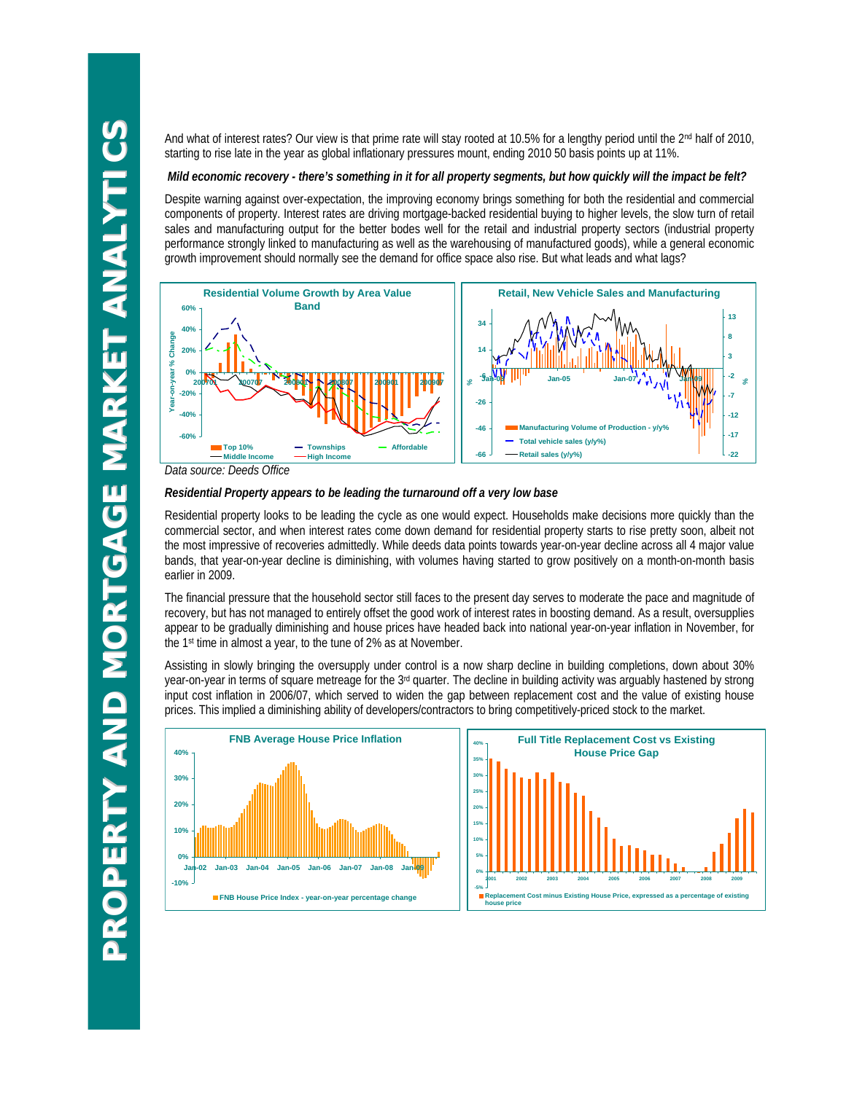And what of interest rates? Our view is that prime rate will stay rooted at 10.5% for a lengthy period until the 2<sup>nd</sup> half of 2010, starting to rise late in the year as global inflationary pressures mount, ending 2010 50 basis points up at 11%.

#### *Mild economic recovery - there's something in it for all property segments, but how quickly will the impact be felt?*

Despite warning against over-expectation, the improving economy brings something for both the residential and commercial components of property. Interest rates are driving mortgage-backed residential buying to higher levels, the slow turn of retail sales and manufacturing output for the better bodes well for the retail and industrial property sectors (industrial property performance strongly linked to manufacturing as well as the warehousing of manufactured goods), while a general economic growth improvement should normally see the demand for office space also rise. But what leads and what lags?



### *Residential Property appears to be leading the turnaround off a very low base*

Residential property looks to be leading the cycle as one would expect. Households make decisions more quickly than the commercial sector, and when interest rates come down demand for residential property starts to rise pretty soon, albeit not the most impressive of recoveries admittedly. While deeds data points towards year-on-year decline across all 4 major value bands, that year-on-year decline is diminishing, with volumes having started to grow positively on a month-on-month basis earlier in 2009.

The financial pressure that the household sector still faces to the present day serves to moderate the pace and magnitude of recovery, but has not managed to entirely offset the good work of interest rates in boosting demand. As a result, oversupplies appear to be gradually diminishing and house prices have headed back into national year-on-year inflation in November, for the 1st time in almost a year, to the tune of 2% as at November.

Assisting in slowly bringing the oversupply under control is a now sharp decline in building completions, down about 30% year-on-year in terms of square metreage for the 3rd quarter. The decline in building activity was arguably hastened by strong input cost inflation in 2006/07, which served to widen the gap between replacement cost and the value of existing house prices. This implied a diminishing ability of developers/contractors to bring competitively-priced stock to the market.



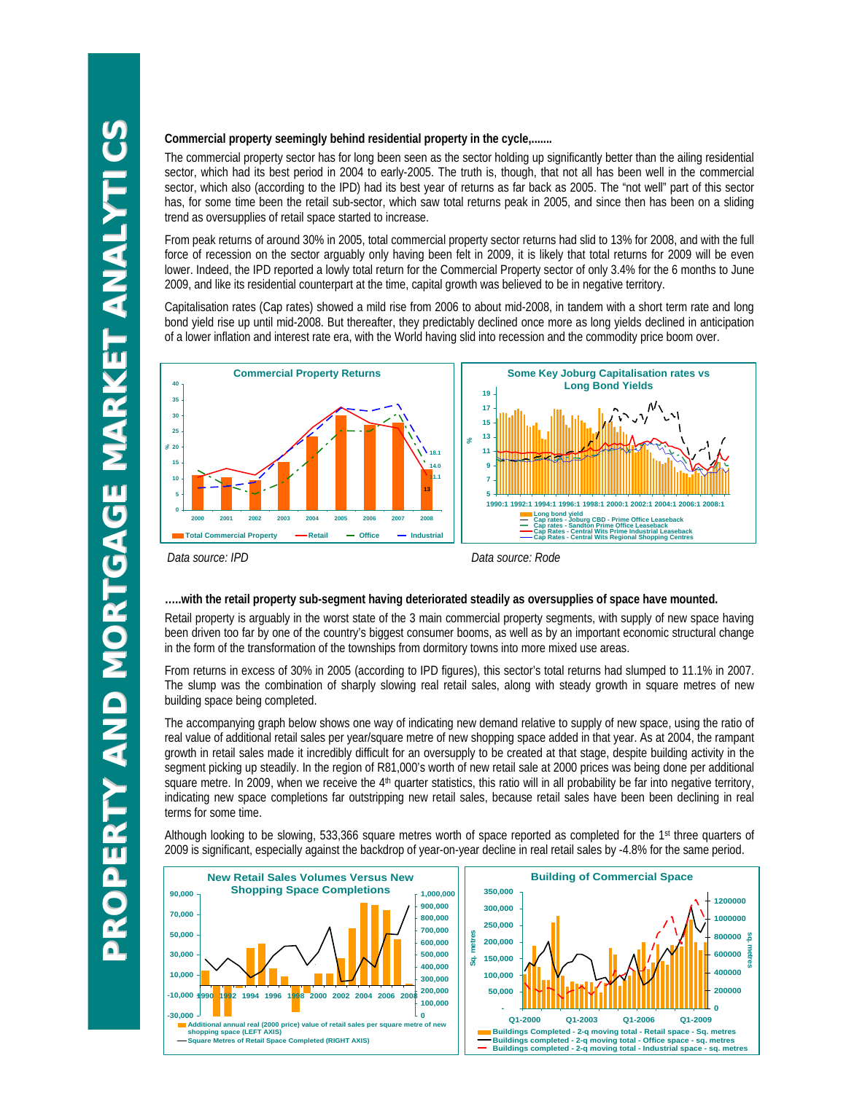#### **Commercial property seemingly behind residential property in the cycle,.......**

The commercial property sector has for long been seen as the sector holding up significantly better than the ailing residential sector, which had its best period in 2004 to early-2005. The truth is, though, that not all has been well in the commercial sector, which also (according to the IPD) had its best year of returns as far back as 2005. The "not well" part of this sector has, for some time been the retail sub-sector, which saw total returns peak in 2005, and since then has been on a sliding trend as oversupplies of retail space started to increase.

From peak returns of around 30% in 2005, total commercial property sector returns had slid to 13% for 2008, and with the full force of recession on the sector arguably only having been felt in 2009, it is likely that total returns for 2009 will be even lower. Indeed, the IPD reported a lowly total return for the Commercial Property sector of only 3.4% for the 6 months to June 2009, and like its residential counterpart at the time, capital growth was believed to be in negative territory.

Capitalisation rates (Cap rates) showed a mild rise from 2006 to about mid-2008, in tandem with a short term rate and long bond yield rise up until mid-2008. But thereafter, they predictably declined once more as long yields declined in anticipation of a lower inflation and interest rate era, with the World having slid into recession and the commodity price boom over.



*Data source: IPD Data source: Rode*

#### **…..with the retail property sub-segment having deteriorated steadily as oversupplies of space have mounted.**

Retail property is arguably in the worst state of the 3 main commercial property segments, with supply of new space having been driven too far by one of the country's biggest consumer booms, as well as by an important economic structural change in the form of the transformation of the townships from dormitory towns into more mixed use areas.

From returns in excess of 30% in 2005 (according to IPD figures), this sector's total returns had slumped to 11.1% in 2007. The slump was the combination of sharply slowing real retail sales, along with steady growth in square metres of new building space being completed.

The accompanying graph below shows one way of indicating new demand relative to supply of new space, using the ratio of real value of additional retail sales per year/square metre of new shopping space added in that year. As at 2004, the rampant growth in retail sales made it incredibly difficult for an oversupply to be created at that stage, despite building activity in the segment picking up steadily. In the region of R81,000's worth of new retail sale at 2000 prices was being done per additional square metre. In 2009, when we receive the 4<sup>th</sup> quarter statistics, this ratio will in all probability be far into negative territory, indicating new space completions far outstripping new retail sales, because retail sales have been been declining in real terms for some time.

Although looking to be slowing, 533,366 square metres worth of space reported as completed for the 1st three quarters of 2009 is significant, especially against the backdrop of year-on-year decline in real retail sales by -4.8% for the same period.

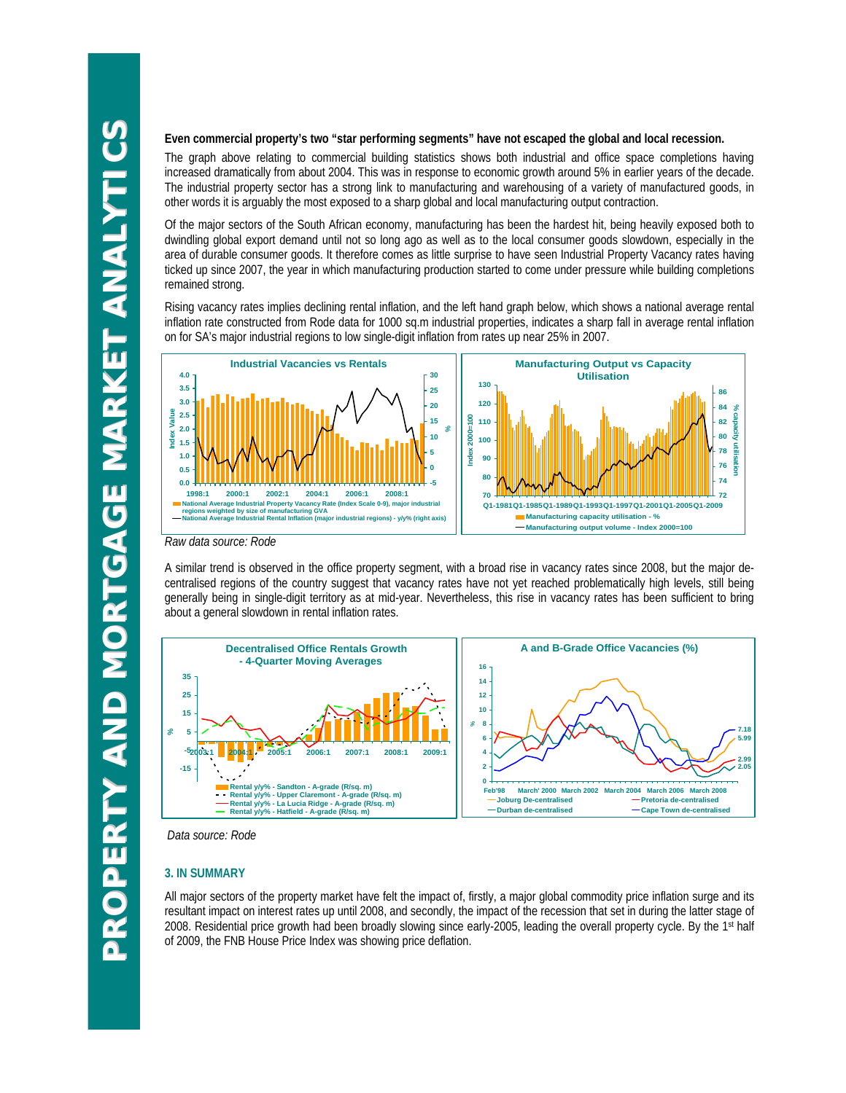#### **Even commercial property's two "star performing segments" have not escaped the global and local recession.**

The graph above relating to commercial building statistics shows both industrial and office space completions having increased dramatically from about 2004. This was in response to economic growth around 5% in earlier years of the decade. The industrial property sector has a strong link to manufacturing and warehousing of a variety of manufactured goods, in other words it is arguably the most exposed to a sharp global and local manufacturing output contraction.

Of the major sectors of the South African economy, manufacturing has been the hardest hit, being heavily exposed both to dwindling global export demand until not so long ago as well as to the local consumer goods slowdown, especially in the area of durable consumer goods. It therefore comes as little surprise to have seen Industrial Property Vacancy rates having ticked up since 2007, the year in which manufacturing production started to come under pressure while building completions remained strong.

Rising vacancy rates implies declining rental inflation, and the left hand graph below, which shows a national average rental inflation rate constructed from Rode data for 1000 sq.m industrial properties, indicates a sharp fall in average rental inflation on for SA's major industrial regions to low single-digit inflation from rates up near 25% in 2007.



*Raw data source: Rode* 

A similar trend is observed in the office property segment, with a broad rise in vacancy rates since 2008, but the major decentralised regions of the country suggest that vacancy rates have not yet reached problematically high levels, still being generally being in single-digit territory as at mid-year. Nevertheless, this rise in vacancy rates has been sufficient to bring about a general slowdown in rental inflation rates.



*Data source: Rode* 

#### **3. IN SUMMARY**

All major sectors of the property market have felt the impact of, firstly, a major global commodity price inflation surge and its resultant impact on interest rates up until 2008, and secondly, the impact of the recession that set in during the latter stage of 2008. Residential price growth had been broadly slowing since early-2005, leading the overall property cycle. By the 1st half of 2009, the FNB House Price Index was showing price deflation.